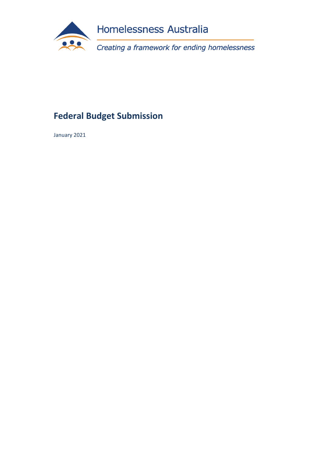

# **Federal Budget Submission**

January 2021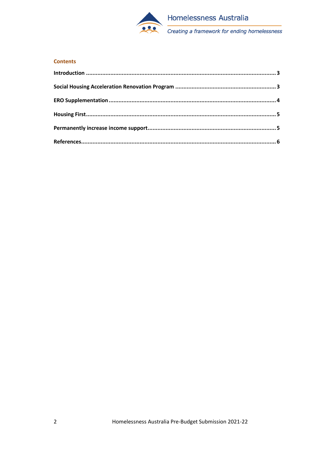

Creating a framework for ending homelessness

#### **Contents**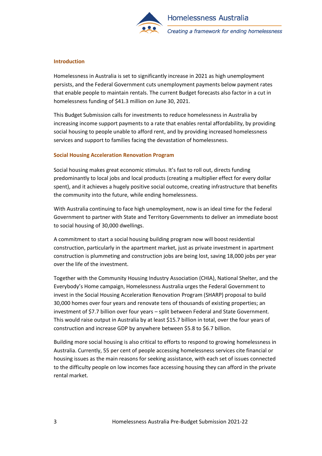

#### <span id="page-2-0"></span>**Introduction**

Homelessness in Australia is set to significantly increase in 2021 as high unemployment persists, and the Federal Government cuts unemployment payments below payment rates that enable people to maintain rentals. The current Budget forecasts also factor in a cut in homelessness funding of \$41.3 million on June 30, 2021.

This Budget Submission calls for investments to reduce homelessness in Australia by increasing income support payments to a rate that enables rental affordability, by providing social housing to people unable to afford rent, and by providing increased homelessness services and support to families facing the devastation of homelessness.

### <span id="page-2-1"></span>**Social Housing Acceleration Renovation Program**

Social housing makes great economic stimulus. It's fast to roll out, directs funding predominantly to local jobs and local products (creating a multiplier effect for every dollar spent), and it achieves a hugely positive social outcome, creating infrastructure that benefits the community into the future, while ending homelessness.

With Australia continuing to face high unemployment, now is an ideal time for the Federal Government to partner with State and Territory Governments to deliver an immediate boost to social housing of 30,000 dwellings.

A commitment to start a social housing building program now will boost residential construction, particularly in the apartment market, just as private investment in apartment construction is plummeting and construction jobs are being lost, saving 18,000 jobs per year over the life of the investment.

Together with the Community Housing Industry Association (CHIA), National Shelter, and the Everybody's Home campaign, Homelessness Australia urges the Federal Government to invest in the Social Housing Acceleration Renovation Program (SHARP) proposal to build 30,000 homes over four years and renovate tens of thousands of existing properties; an investment of \$7.7 billion over four years – split between Federal and State Government. This would raise output in Australia by at least \$15.7 billion in total, over the four years of construction and increase GDP by anywhere between \$5.8 to \$6.7 billion.

Building more social housing is also critical to efforts to respond to growing homelessness in Australia. Currently, 55 per cent of people accessing homelessness services cite financial or housing issues as the main reasons for seeking assistance, with each set of issues connected to the difficulty people on low incomes face accessing housing they can afford in the private rental market.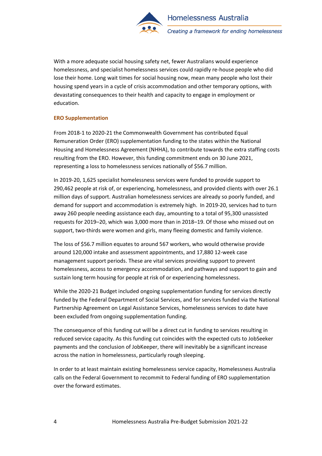

With a more adequate social housing safety net, fewer Australians would experience homelessness, and specialist homelessness services could rapidly re-house people who did lose their home. Long wait times for social housing now, mean many people who lost their housing spend years in a cycle of crisis accommodation and other temporary options, with devastating consequences to their health and capacity to engage in employment or education.

## <span id="page-3-0"></span>**ERO Supplementation**

From 2018-1 to 2020-21 the Commonwealth Government has contributed Equal Remuneration Order (ERO) supplementation funding to the states within the National Housing and Homelessness Agreement (NHHA), to contribute towards the extra staffing costs resulting from the ERO. However, this funding commitment ends on 30 June 2021, representing a loss to homelessness services nationally of \$56.7 million.

In 2019-20, 1,625 specialist homelessness services were funded to provide support to 290,462 people at risk of, or experiencing, homelessness, and provided clients with over 26.1 million days of support. Australian homelessness services are already so poorly funded, and demand for support and accommodation is extremely high. In 2019-20, services had to turn away 260 people needing assistance each day, amounting to a total of 95,300 unassisted requests for 2019–20, which was 3,000 more than in 2018–19. Of those who missed out on support, two-thirds were women and girls, many fleeing domestic and family violence.

The loss of \$56.7 million equates to around 567 workers, who would otherwise provide around 120,000 intake and assessment appointments, and 17,880 12-week case management support periods. These are vital services providing support to prevent homelessness, access to emergency accommodation, and pathways and support to gain and sustain long term housing for people at risk of or experiencing homelessness.

While the 2020-21 Budget included ongoing supplementation funding for services directly funded by the Federal Department of Social Services, and for services funded via the National Partnership Agreement on Legal Assistance Services, homelessness services to date have been excluded from ongoing supplementation funding.

The consequence of this funding cut will be a direct cut in funding to services resulting in reduced service capacity. As this funding cut coincides with the expected cuts to JobSeeker payments and the conclusion of JobKeeper, there will inevitably be a significant increase across the nation in homelessness, particularly rough sleeping.

In order to at least maintain existing homelessness service capacity, Homelessness Australia calls on the Federal Government to recommit to Federal funding of ERO supplementation over the forward estimates.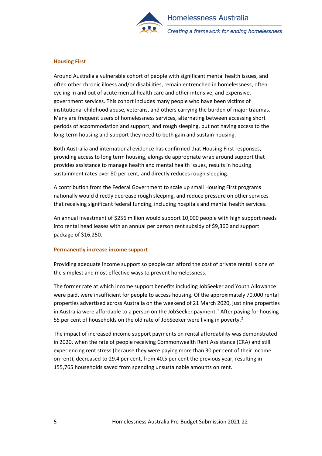

### <span id="page-4-0"></span>**Housing First**

Around Australia a vulnerable cohort of people with significant mental health issues, and often other chronic illness and/or disabilities, remain entrenched in homelessness, often cycling in and out of acute mental health care and other intensive, and expensive, government services. This cohort includes many people who have been victims of institutional childhood abuse, veterans, and others carrying the burden of major traumas. Many are frequent users of homelessness services, alternating between accessing short periods of accommodation and support, and rough sleeping, but not having access to the long-term housing and support they need to both gain and sustain housing.

Both Australia and international evidence has confirmed that Housing First responses, providing access to long term housing, alongside appropriate wrap around support that provides assistance to manage health and mental health issues, results in housing sustainment rates over 80 per cent, and directly reduces rough sleeping.

A contribution from the Federal Government to scale up small Housing First programs nationally would directly decrease rough sleeping, and reduce pressure on other services that receiving significant federal funding, including hospitals and mental health services.

An annual investment of \$256 million would support 10,000 people with high support needs into rental head leases with an annual per person rent subsidy of \$9,360 and support package of \$16,250.

#### <span id="page-4-1"></span>**Permanently increase income support**

Providing adequate income support so people can afford the cost of private rental is one of the simplest and most effective ways to prevent homelessness.

The former rate at which income support benefits including JobSeeker and Youth Allowance were paid, were insufficient for people to access housing. Of the approximately 70,000 rental properties advertised across Australia on the weekend of 21 March 2020, just nine properties in Australia were affordable to a person on the JobSeeker payment.<sup>1</sup> After paying for housing 55 per cent of households on the old rate of JobSeeker were living in poverty.<sup>2</sup>

The impact of increased income support payments on rental affordability was demonstrated in 2020, when the rate of people receiving Commonwealth Rent Assistance (CRA) and still experiencing rent stress (because they were paying more than 30 per cent of their income on rent), decreased to 29.4 per cent, from 40.5 per cent the previous year, resulting in 155,765 households saved from spending unsustainable amounts on rent.